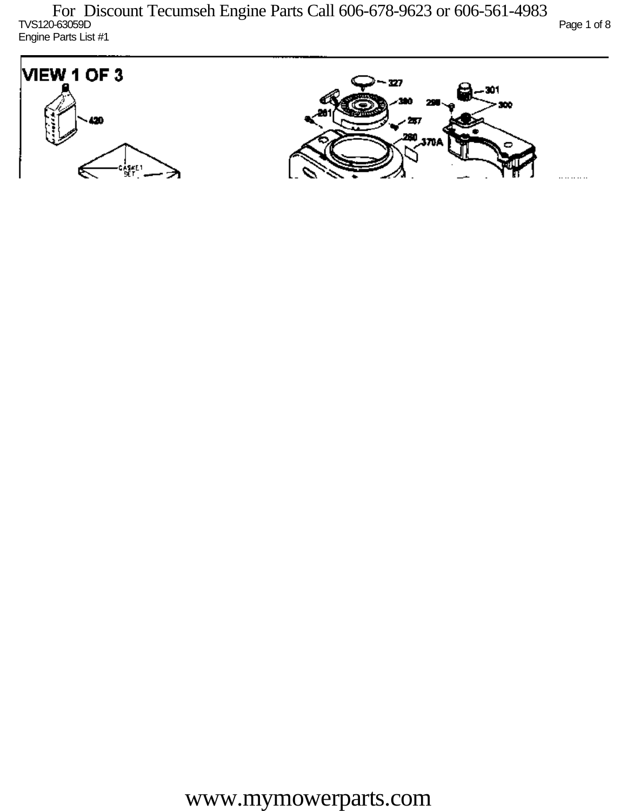TVS120-63059D Page 1 of 8 Engine Parts List #1

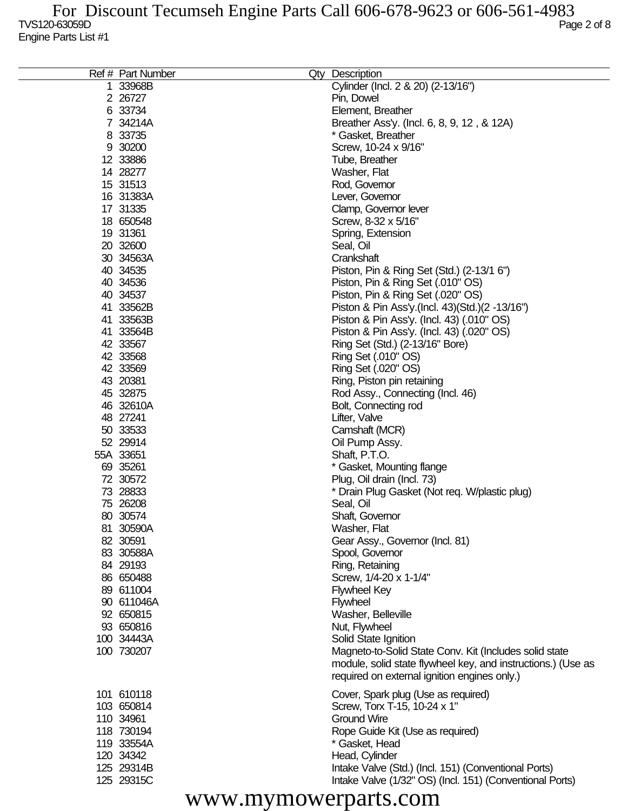| Ref # Part Number | Qty<br>Description                                           |
|-------------------|--------------------------------------------------------------|
| 1 33968B          | Cylinder (Incl. 2 & 20) (2-13/16")                           |
| 2 26727           | Pin, Dowel                                                   |
| 6 33734           | Element, Breather                                            |
| 7 34214A          | Breather Ass'y. (Incl. 6, 8, 9, 12, & 12A)                   |
| 8 33735           | * Gasket, Breather                                           |
| 9 30200           | Screw, 10-24 x 9/16"                                         |
| 12 33886          | Tube, Breather                                               |
| 14 28277          | Washer, Flat                                                 |
| 15 31513          | Rod, Governor                                                |
| 16 31383A         | Lever, Governor                                              |
| 17 31335          | Clamp, Governor lever                                        |
| 18 650548         | Screw, 8-32 x 5/16"                                          |
| 19 31361          | Spring, Extension                                            |
| 20 32600          | Seal, Oil                                                    |
| 30 34563A         | Crankshaft                                                   |
| 40 34535          | Piston, Pin & Ring Set (Std.) (2-13/1 6")                    |
| 40 34536          | Piston, Pin & Ring Set (.010" OS)                            |
| 40 34537          | Piston, Pin & Ring Set (.020" OS)                            |
| 41 33562B         | Piston & Pin Ass'y (Incl. 43) (Std.) (2 -13/16")             |
| 41 33563B         | Piston & Pin Ass'y. (Incl. 43) (.010" OS)                    |
| 41 33564B         | Piston & Pin Ass'y. (Incl. 43) (.020" OS)                    |
| 42 33567          | Ring Set (Std.) (2-13/16" Bore)                              |
| 42 33568          | Ring Set (.010" OS)                                          |
| 42 33569          | Ring Set (.020" OS)                                          |
| 43 20381          | Ring, Piston pin retaining                                   |
| 45 32875          | Rod Assy., Connecting (Incl. 46)                             |
| 46 32610A         | Bolt, Connecting rod                                         |
| 48 27241          | Lifter, Valve                                                |
| 50 33533          | Camshaft (MCR)                                               |
| 52 29914          | Oil Pump Assy.                                               |
| 55A 33651         | Shaft, P.T.O.                                                |
| 69 35261          | * Gasket, Mounting flange                                    |
| 72 30572          | Plug, Oil drain (Incl. 73)                                   |
| 73 28833          | * Drain Plug Gasket (Not req. W/plastic plug)                |
| 75 26208          | Seal, Oil                                                    |
| 80 30574          | Shaft, Governor                                              |
| 81 30590A         | Washer, Flat                                                 |
| 82 30591          | Gear Assy., Governor (Incl. 81)                              |
| 83 30588A         | Spool, Governor                                              |
| 84 29193          | Ring, Retaining                                              |
| 86 650488         | Screw, 1/4-20 x 1-1/4"                                       |
| 89 611004         | <b>Flywheel Key</b>                                          |
| 90 611046A        | <b>Flywheel</b>                                              |
| 92 650815         | Washer, Belleville                                           |
| 93 650816         | Nut, Flywheel                                                |
| 100 34443A        | Solid State Ignition                                         |
| 100 730207        | Magneto-to-Solid State Conv. Kit (Includes solid state       |
|                   | module, solid state flywheel key, and instructions.) (Use as |
|                   | required on external ignition engines only.)                 |
| 101 610118        | Cover, Spark plug (Use as required)                          |
| 103 650814        | Screw, Torx T-15, 10-24 x 1"                                 |
| 110 34961         | <b>Ground Wire</b>                                           |
| 118 730194        | Rope Guide Kit (Use as required)                             |
| 119 33554A        | * Gasket, Head                                               |
| 120 34342         | Head, Cylinder                                               |
| 125 29314B        | Intake Valve (Std.) (Incl. 151) (Conventional Ports)         |
| 125 29315C        | Intake Valve (1/32" OS) (Incl. 151) (Conventional Ports)     |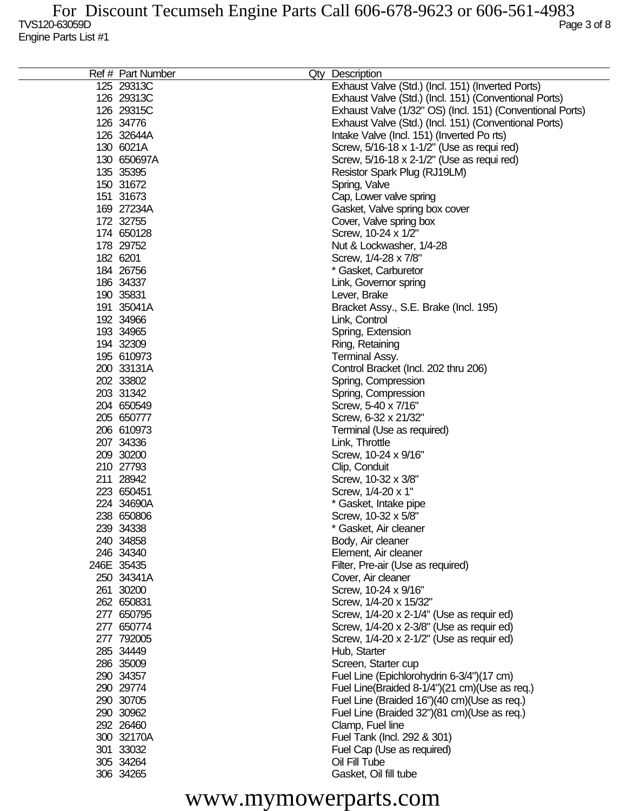| Ref # Part Number | Qty Description                                           |
|-------------------|-----------------------------------------------------------|
| 125 29313C        | Exhaust Valve (Std.) (Incl. 151) (Inverted Ports)         |
| 126 29313C        | Exhaust Valve (Std.) (Incl. 151) (Conventional Ports)     |
| 126 29315C        | Exhaust Valve (1/32" OS) (Incl. 151) (Conventional Ports) |
| 126 34776         | Exhaust Valve (Std.) (Incl. 151) (Conventional Ports)     |
| 126 32644A        | Intake Valve (Incl. 151) (Inverted Po rts)                |
| 130 6021A         | Screw, 5/16-18 x 1-1/2" (Use as requi red)                |
|                   |                                                           |
| 130 650697A       | Screw, 5/16-18 x 2-1/2" (Use as requi red)                |
| 135 35395         | Resistor Spark Plug (RJ19LM)                              |
| 150 31672         | Spring, Valve                                             |
| 151 31673         | Cap, Lower valve spring                                   |
| 169 27234A        | Gasket, Valve spring box cover                            |
| 172 32755         | Cover, Valve spring box                                   |
| 174 650128        | Screw, 10-24 x 1/2"                                       |
| 178 29752         | Nut & Lockwasher, 1/4-28                                  |
| 182 6201          | Screw, 1/4-28 x 7/8"                                      |
| 184 26756         | * Gasket, Carburetor                                      |
| 186 34337         | Link, Governor spring                                     |
| 190 35831         | Lever, Brake                                              |
| 191 35041A        | Bracket Assy., S.E. Brake (Incl. 195)                     |
| 192 34966         | Link, Control                                             |
| 193 34965         | Spring, Extension                                         |
| 194 32309         | Ring, Retaining                                           |
| 195 610973        |                                                           |
|                   | Terminal Assy.                                            |
| 200 33131A        | Control Bracket (Incl. 202 thru 206)                      |
| 202 33802         | Spring, Compression                                       |
| 203 31342         | Spring, Compression                                       |
| 204 650549        | Screw, 5-40 x 7/16"                                       |
| 205 650777        | Screw, 6-32 x 21/32"                                      |
| 206 610973        | Terminal (Use as required)                                |
| 207 34336         | Link, Throttle                                            |
| 209 30200         | Screw, 10-24 x 9/16"                                      |
| 210 27793         | Clip, Conduit                                             |
| 211 28942         | Screw, 10-32 x 3/8"                                       |
| 223 650451        | Screw, 1/4-20 x 1"                                        |
| 224 34690A        | * Gasket, Intake pipe                                     |
| 238 650806        | Screw, 10-32 x 5/8"                                       |
| 239 34338         | * Gasket, Air cleaner                                     |
| 240 34858         | Body, Air cleaner                                         |
| 246 34340         | Element, Air cleaner                                      |
| 246E 35435        | Filter, Pre-air (Use as required)                         |
| 250 34341A        | Cover, Air cleaner                                        |
| 261 30200         | Screw, 10-24 x 9/16"                                      |
| 262 650831        | Screw, 1/4-20 x 15/32"                                    |
| 277 650795        | Screw, 1/4-20 x 2-1/4" (Use as requir ed)                 |
| 277 650774        | Screw, 1/4-20 x 2-3/8" (Use as requir ed)                 |
| 277 792005        | Screw, 1/4-20 x 2-1/2" (Use as requir ed)                 |
|                   |                                                           |
| 285 34449         | Hub, Starter                                              |
| 286 35009         | Screen, Starter cup                                       |
| 290 34357         | Fuel Line (Epichlorohydrin 6-3/4")(17 cm)                 |
| 290 29774         | Fuel Line(Braided 8-1/4")(21 cm)(Use as req.)             |
| 290 30705         | Fuel Line (Braided 16")(40 cm)(Use as req.)               |
| 290 30962         | Fuel Line (Braided 32")(81 cm)(Use as req.)               |
| 292 26460         | Clamp, Fuel line                                          |
| 300 32170A        | Fuel Tank (Incl. 292 & 301)                               |
| 301 33032         | Fuel Cap (Use as required)                                |
| 305 34264         | Oil Fill Tube                                             |
| 306 34265         | Gasket, Oil fill tube                                     |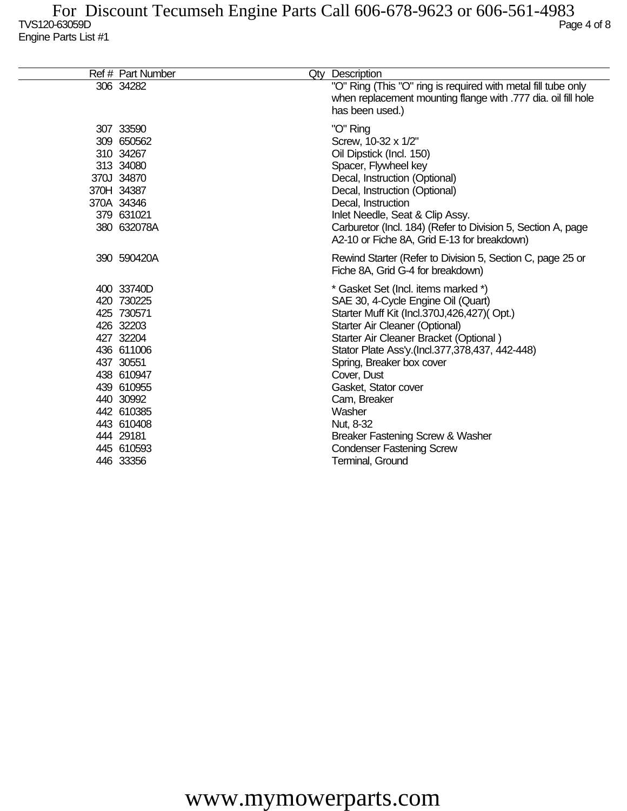| Ref # Part Number                                                                                                                                                                                        | Qty Description                                                                                                                                                                                                                                                                                                                                                                                                                                              |
|----------------------------------------------------------------------------------------------------------------------------------------------------------------------------------------------------------|--------------------------------------------------------------------------------------------------------------------------------------------------------------------------------------------------------------------------------------------------------------------------------------------------------------------------------------------------------------------------------------------------------------------------------------------------------------|
| 306 34282                                                                                                                                                                                                | "O" Ring (This "O" ring is required with metal fill tube only<br>when replacement mounting flange with .777 dia. oil fill hole<br>has been used.)                                                                                                                                                                                                                                                                                                            |
| 307 33590<br>309 650562<br>310 34267<br>313 34080<br>370J 34870<br>370H 34387<br>370A 34346<br>379 631021<br>380 632078A                                                                                 | "O" Ring<br>Screw, 10-32 x 1/2"<br>Oil Dipstick (Incl. 150)<br>Spacer, Flywheel key<br>Decal, Instruction (Optional)<br>Decal, Instruction (Optional)<br>Decal, Instruction<br>Inlet Needle, Seat & Clip Assy.<br>Carburetor (Incl. 184) (Refer to Division 5, Section A, page<br>A2-10 or Fiche 8A, Grid E-13 for breakdown)                                                                                                                                |
| 390 590420A                                                                                                                                                                                              | Rewind Starter (Refer to Division 5, Section C, page 25 or<br>Fiche 8A, Grid G-4 for breakdown)                                                                                                                                                                                                                                                                                                                                                              |
| 400 33740D<br>420 730225<br>425 730571<br>426 32203<br>427 32204<br>436 611006<br>437 30551<br>438 610947<br>439 610955<br>440 30992<br>442 610385<br>443 610408<br>444 29181<br>445 610593<br>446 33356 | * Gasket Set (Incl. items marked *)<br>SAE 30, 4-Cycle Engine Oil (Quart)<br>Starter Muff Kit (Incl.370J,426,427)(Opt.)<br>Starter Air Cleaner (Optional)<br>Starter Air Cleaner Bracket (Optional)<br>Stator Plate Ass'y.(Incl.377,378,437, 442-448)<br>Spring, Breaker box cover<br>Cover, Dust<br>Gasket, Stator cover<br>Cam, Breaker<br>Washer<br>Nut, 8-32<br>Breaker Fastening Screw & Washer<br><b>Condenser Fastening Screw</b><br>Terminal, Ground |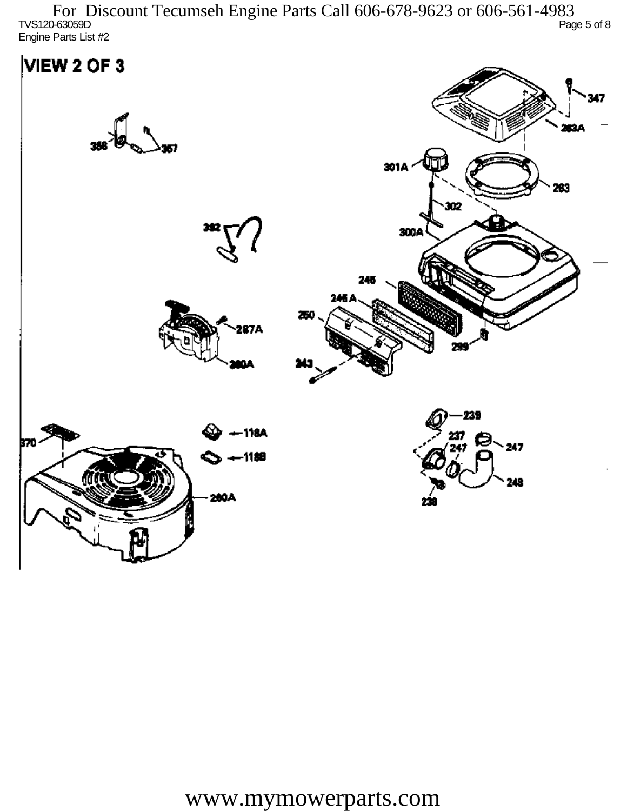TVS120-63059D Page 5 of 8 Engine Parts List #2 For Discount Tecumseh Engine Parts Call 606-678-9623 or 606-561-4983

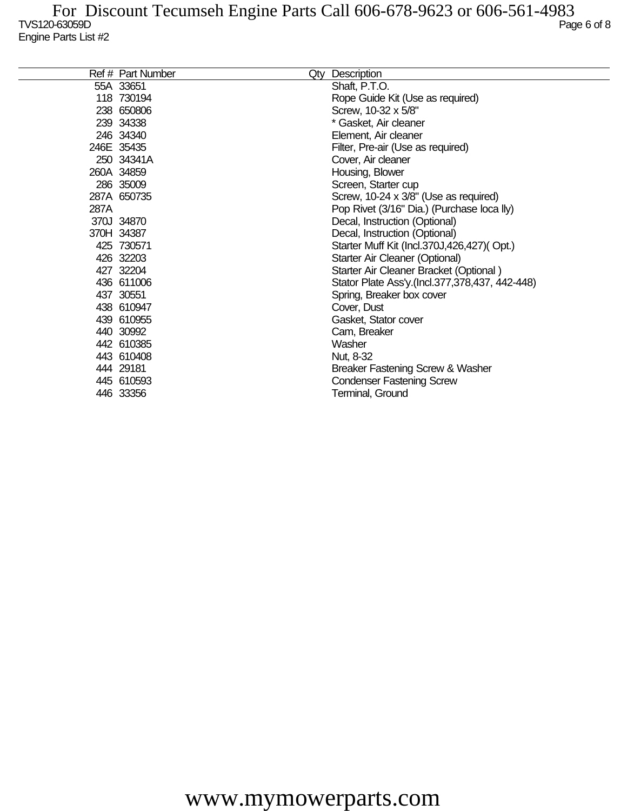|      | Ref # Part Number | Qty Description                                |
|------|-------------------|------------------------------------------------|
|      | 55A 33651         | Shaft, P.T.O.                                  |
|      | 118 730194        | Rope Guide Kit (Use as required)               |
|      | 238 650806        | Screw, 10-32 x 5/8"                            |
|      | 239 34338         | * Gasket, Air cleaner                          |
|      | 246 34340         | Element, Air cleaner                           |
|      | 246E 35435        | Filter, Pre-air (Use as required)              |
|      | 250 34341A        | Cover, Air cleaner                             |
|      | 260A 34859        | Housing, Blower                                |
|      | 286 35009         | Screen, Starter cup                            |
|      | 287A 650735       | Screw, 10-24 x 3/8" (Use as required)          |
| 287A |                   | Pop Rivet (3/16" Dia.) (Purchase loca lly)     |
|      | 370J 34870        | Decal, Instruction (Optional)                  |
|      | 370H 34387        | Decal, Instruction (Optional)                  |
|      | 425 730571        | Starter Muff Kit (Incl.370J,426,427)(Opt.)     |
|      | 426 32203         | Starter Air Cleaner (Optional)                 |
|      | 427 32204         | Starter Air Cleaner Bracket (Optional)         |
|      | 436 611006        | Stator Plate Ass'y.(Incl.377,378,437, 442-448) |
|      | 437 30551         | Spring, Breaker box cover                      |
|      | 438 610947        | Cover, Dust                                    |
|      | 439 610955        | Gasket, Stator cover                           |
|      | 440 30992         | Cam, Breaker                                   |
|      | 442 610385        | Washer                                         |
|      | 443 610408        | Nut, 8-32                                      |
|      | 444 29181         | Breaker Fastening Screw & Washer               |
|      | 445 610593        | <b>Condenser Fastening Screw</b>               |
|      | 446 33356         | Terminal, Ground                               |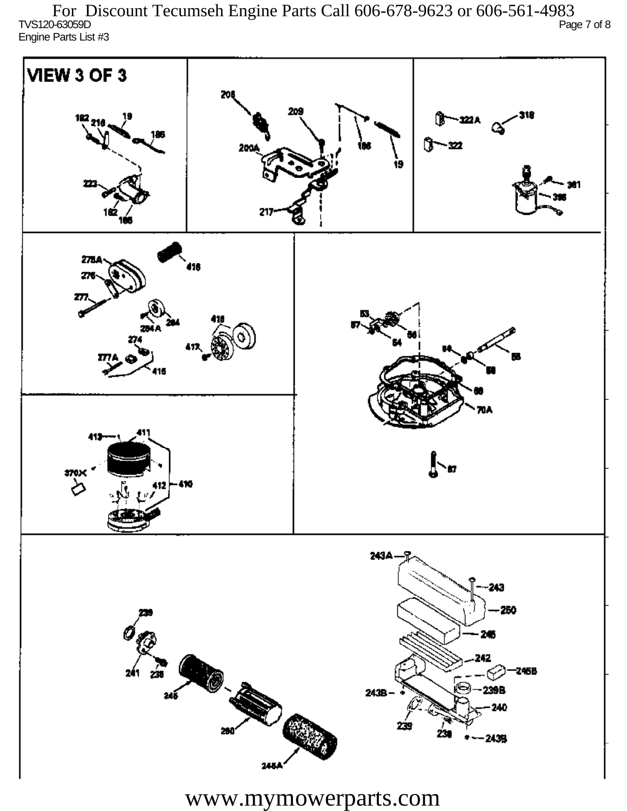TVS120-63059D Page 7 of 8 Engine Parts List #3 For Discount Tecumseh Engine Parts Call 606-678-9623 or 606-561-4983